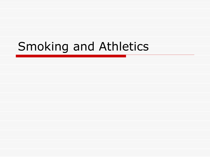# Smoking and Athletics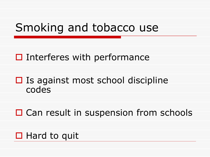### Smoking and tobacco use

#### $\Box$  Interferes with performance

#### $\Box$  Is against most school discipline codes

### □ Can result in suspension from schools

#### $\Box$  Hard to quit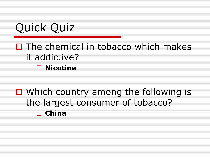Quick Quiz

#### $\Box$  The chemical in tobacco which makes it addictive? **□ Nicotine**

### $\Box$  Which country among the following is the largest consumer of tobacco? **China**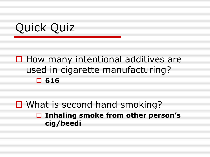#### $\Box$  How many intentional additives are used in cigarette manufacturing? **616**

#### ■ What is second hand smoking? **Inhaling smoke from other person's cig/beedi**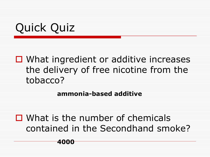### $\Box$  What ingredient or additive increases the delivery of free nicotine from the tobacco?

**ammonia-based additive**

 $\Box$  What is the number of chemicals contained in the Secondhand smoke?

#### **4000**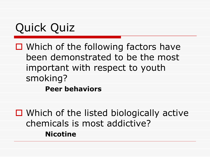$\Box$  Which of the following factors have been demonstrated to be the most important with respect to youth smoking? **Peer behaviors**

 $\Box$  Which of the listed biologically active chemicals is most addictive? **Nicotine**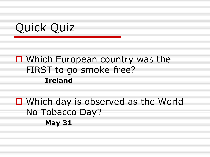#### □ Which European country was the FIRST to go smoke-free? **Ireland**

□ Which day is observed as the World No Tobacco Day? **May 31**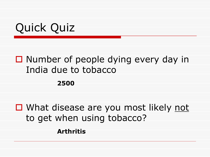### $\Box$  Number of people dying every day in India due to tobacco

**2500**

■ What disease are you most likely not to get when using tobacco? **Arthritis**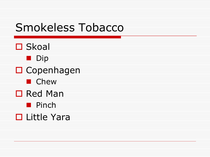### Smokeless Tobacco

- □ Skoal
	- Dip
- **□** Copenhagen
	- **n** Chew
- □ Red Man
	- **Pinch**
- □ Little Yara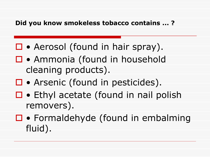#### **Did you know smokeless tobacco contains ... ?**

- □ Aerosol (found in hair spray).
- □ Ammonia (found in household cleaning products).
- □ Arsenic (found in pesticides).
- $\Box \bullet$  Ethyl acetate (found in nail polish removers).
- $\Box \bullet$  Formaldehyde (found in embalming fluid).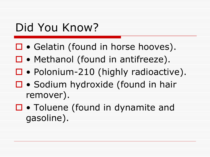### Did You Know?

- □ Gelatin (found in horse hooves).
- □ Methanol (found in antifreeze).
- □ Polonium-210 (highly radioactive).
- □ Sodium hydroxide (found in hair remover).
- □ Toluene (found in dynamite and gasoline).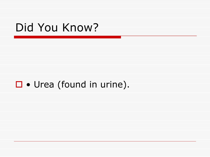### Did You Know?

### $\Box \bullet$  Urea (found in urine).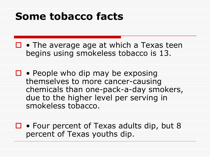### **Some tobacco facts**

 $\Box \bullet$  The average age at which a Texas teen begins using smokeless tobacco is 13.

 $\Box \bullet$  People who dip may be exposing themselves to more cancer-causing chemicals than one-pack-a-day smokers, due to the higher level per serving in smokeless tobacco.

□ • Four percent of Texas adults dip, but 8 percent of Texas youths dip.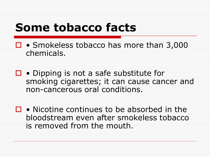### **Some tobacco facts**

- □ Smokeless tobacco has more than 3,000 chemicals.
- $\Box \bullet$  Dipping is not a safe substitute for smoking cigarettes; it can cause cancer and non-cancerous oral conditions.
- $\Box \bullet$  Nicotine continues to be absorbed in the bloodstream even after smokeless tobacco is removed from the mouth.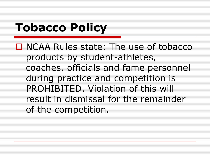# **Tobacco Policy**

□ NCAA Rules state: The use of tobacco products by student-athletes, coaches, officials and fame personnel during practice and competition is PROHIBITED. Violation of this will result in dismissal for the remainder of the competition.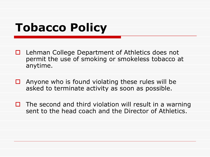# **Tobacco Policy**

- $\Box$  Lehman College Department of Athletics does not permit the use of smoking or smokeless tobacco at anytime.
- $\Box$  Anyone who is found violating these rules will be asked to terminate activity as soon as possible.
- $\Box$  The second and third violation will result in a warning sent to the head coach and the Director of Athletics.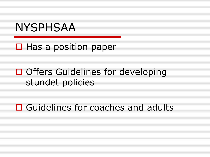### NYSPHSAA

#### $\Box$  Has a position paper

### $\Box$  Offers Guidelines for developing stundet policies

□ Guidelines for coaches and adults